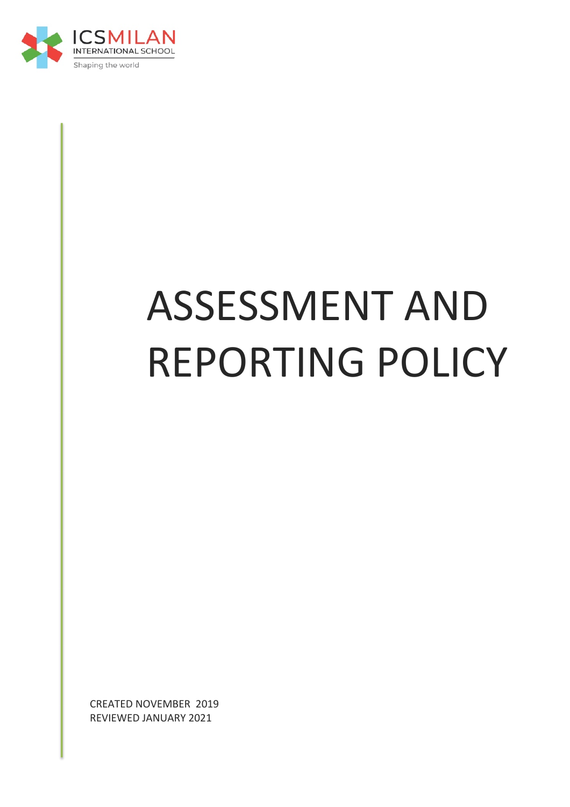

# ASSESSMENT AND REPORTING POLICY

CREATED NOVEMBER 2019 REVIEWED JANUARY 2021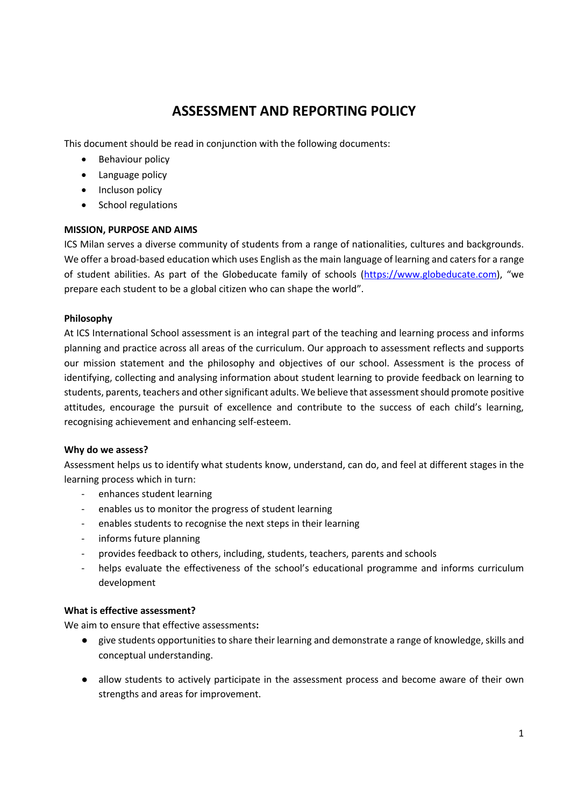# **ASSESSMENT AND REPORTING POLICY**

This document should be read in conjunction with the following documents:

- Behaviour policy
- Language policy
- Incluson policy
- School regulations

# **MISSION, PURPOSE AND AIMS**

ICS Milan serves a diverse community of students from a range of nationalities, cultures and backgrounds. We offer a broad-based education which uses English as the main language of learning and caters for a range of student abilities. As part of the Globeducate family of schools (https://www.globeducate.com), "we prepare each student to be a global citizen who can shape the world".

# **Philosophy**

At ICS International School assessment is an integral part of the teaching and learning process and informs planning and practice across all areas of the curriculum. Our approach to assessment reflects and supports our mission statement and the philosophy and objectives of our school. Assessment is the process of identifying, collecting and analysing information about student learning to provide feedback on learning to students, parents, teachers and other significant adults. We believe that assessment should promote positive attitudes, encourage the pursuit of excellence and contribute to the success of each child's learning, recognising achievement and enhancing self-esteem.

#### **Why do we assess?**

Assessment helps us to identify what students know, understand, can do, and feel at different stages in the learning process which in turn:

- enhances student learning
- enables us to monitor the progress of student learning
- enables students to recognise the next steps in their learning
- informs future planning
- provides feedback to others, including, students, teachers, parents and schools
- helps evaluate the effectiveness of the school's educational programme and informs curriculum development

#### **What is effective assessment?**

We aim to ensure that effective assessments**:**

- give students opportunities to share their learning and demonstrate a range of knowledge, skills and conceptual understanding.
- allow students to actively participate in the assessment process and become aware of their own strengths and areas for improvement.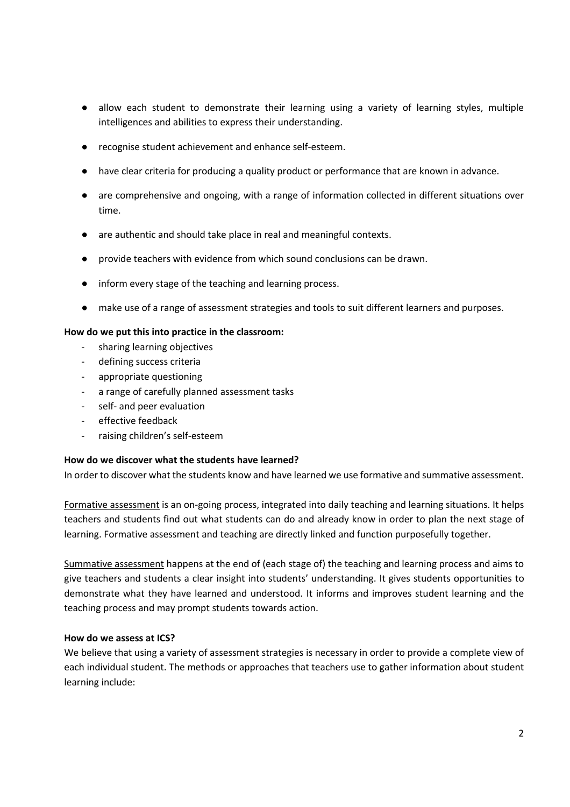- allow each student to demonstrate their learning using a variety of learning styles, multiple intelligences and abilities to express their understanding.
- recognise student achievement and enhance self-esteem.
- have clear criteria for producing a quality product or performance that are known in advance.
- are comprehensive and ongoing, with a range of information collected in different situations over time.
- are authentic and should take place in real and meaningful contexts.
- provide teachers with evidence from which sound conclusions can be drawn.
- inform every stage of the teaching and learning process.
- make use of a range of assessment strategies and tools to suit different learners and purposes.

#### **How do we put this into practice in the classroom:**

- sharing learning objectives
- defining success criteria
- appropriate questioning
- a range of carefully planned assessment tasks
- self- and peer evaluation
- effective feedback
- raising children's self-esteem

#### **How do we discover what the students have learned?**

In order to discover what the students know and have learned we use formative and summative assessment.

Formative assessment is an on-going process, integrated into daily teaching and learning situations. It helps teachers and students find out what students can do and already know in order to plan the next stage of learning. Formative assessment and teaching are directly linked and function purposefully together.

Summative assessment happens at the end of (each stage of) the teaching and learning process and aims to give teachers and students a clear insight into students' understanding. It gives students opportunities to demonstrate what they have learned and understood. It informs and improves student learning and the teaching process and may prompt students towards action.

#### **How do we assess at ICS?**

We believe that using a variety of assessment strategies is necessary in order to provide a complete view of each individual student. The methods or approaches that teachers use to gather information about student learning include: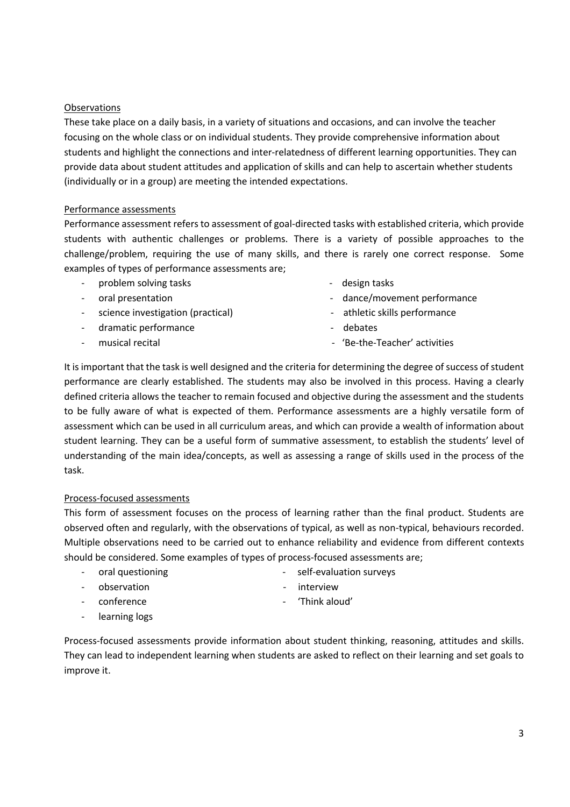#### **Observations**

These take place on a daily basis, in a variety of situations and occasions, and can involve the teacher focusing on the whole class or on individual students. They provide comprehensive information about students and highlight the connections and inter-relatedness of different learning opportunities. They can provide data about student attitudes and application of skills and can help to ascertain whether students (individually or in a group) are meeting the intended expectations.

#### Performance assessments

Performance assessment refers to assessment of goal-directed tasks with established criteria, which provide students with authentic challenges or problems. There is a variety of possible approaches to the challenge/problem, requiring the use of many skills, and there is rarely one correct response. Some examples of types of performance assessments are;

- problem solving tasks and the set of the set of the set of the design tasks and the set of the set of the set o
- 
- science investigation (practical)  $\qquad \qquad -$  athletic skills performance
- dramatic performance and the set of the debates of the debates of the debates of the debates of the debates of the debates of the debates of the debates of the debates of the debates of the debates of the debates of the de
- 
- 
- oral presentation and the contract of the dance/movement performance
	-
	-
- musical recital  $\overline{a}$   $\overline{b}$  'Be-the-Teacher' activities

It is important that the task is well designed and the criteria for determining the degree of success of student performance are clearly established. The students may also be involved in this process. Having a clearly defined criteria allows the teacher to remain focused and objective during the assessment and the students to be fully aware of what is expected of them. Performance assessments are a highly versatile form of assessment which can be used in all curriculum areas, and which can provide a wealth of information about student learning. They can be a useful form of summative assessment, to establish the students' level of understanding of the main idea/concepts, as well as assessing a range of skills used in the process of the task.

#### Process-focused assessments

This form of assessment focuses on the process of learning rather than the final product. Students are observed often and regularly, with the observations of typical, as well as non-typical, behaviours recorded. Multiple observations need to be carried out to enhance reliability and evidence from different contexts should be considered. Some examples of types of process-focused assessments are;

- oral questioning contained the self-evaluation surveys
- 
- 
- 
- observation and the contract of the interview
- conference example and the conference of think aloud'
- learning logs

Process-focused assessments provide information about student thinking, reasoning, attitudes and skills. They can lead to independent learning when students are asked to reflect on their learning and set goals to improve it.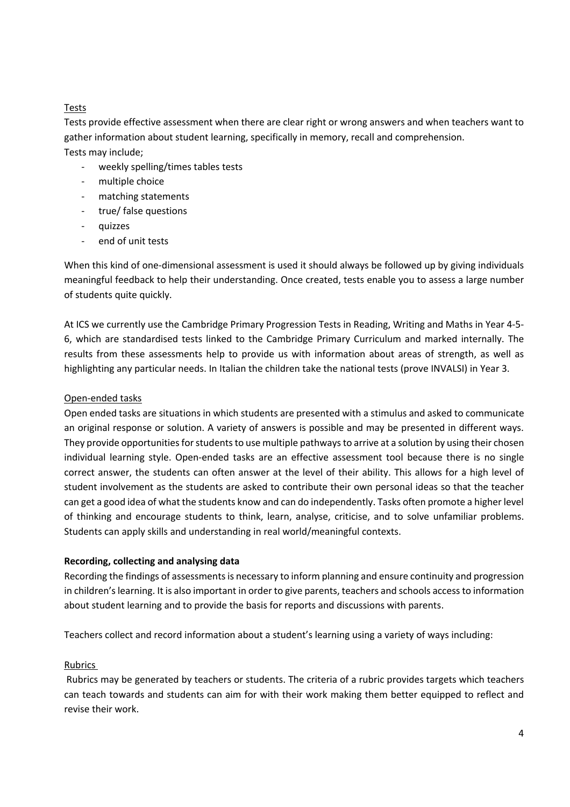#### Tests

Tests provide effective assessment when there are clear right or wrong answers and when teachers want to gather information about student learning, specifically in memory, recall and comprehension. Tests may include;

- weekly spelling/times tables tests
- multiple choice
- matching statements
- true/ false questions
- quizzes
- end of unit tests

When this kind of one-dimensional assessment is used it should always be followed up by giving individuals meaningful feedback to help their understanding. Once created, tests enable you to assess a large number of students quite quickly.

At ICS we currently use the Cambridge Primary Progression Tests in Reading, Writing and Maths in Year 4-5- 6, which are standardised tests linked to the Cambridge Primary Curriculum and marked internally. The results from these assessments help to provide us with information about areas of strength, as well as highlighting any particular needs. In Italian the children take the national tests (prove INVALSI) in Year 3.

#### Open-ended tasks

Open ended tasks are situations in which students are presented with a stimulus and asked to communicate an original response or solution. A variety of answers is possible and may be presented in different ways. They provide opportunities for students to use multiple pathways to arrive at a solution by using their chosen individual learning style. Open-ended tasks are an effective assessment tool because there is no single correct answer, the students can often answer at the level of their ability. This allows for a high level of student involvement as the students are asked to contribute their own personal ideas so that the teacher can get a good idea of what the students know and can do independently. Tasks often promote a higher level of thinking and encourage students to think, learn, analyse, criticise, and to solve unfamiliar problems. Students can apply skills and understanding in real world/meaningful contexts.

#### **Recording, collecting and analysing data**

Recording the findings of assessments is necessary to inform planning and ensure continuity and progression in children's learning. It is also important in order to give parents, teachers and schools access to information about student learning and to provide the basis for reports and discussions with parents.

Teachers collect and record information about a student's learning using a variety of ways including:

#### Rubrics

Rubrics may be generated by teachers or students. The criteria of a rubric provides targets which teachers can teach towards and students can aim for with their work making them better equipped to reflect and revise their work.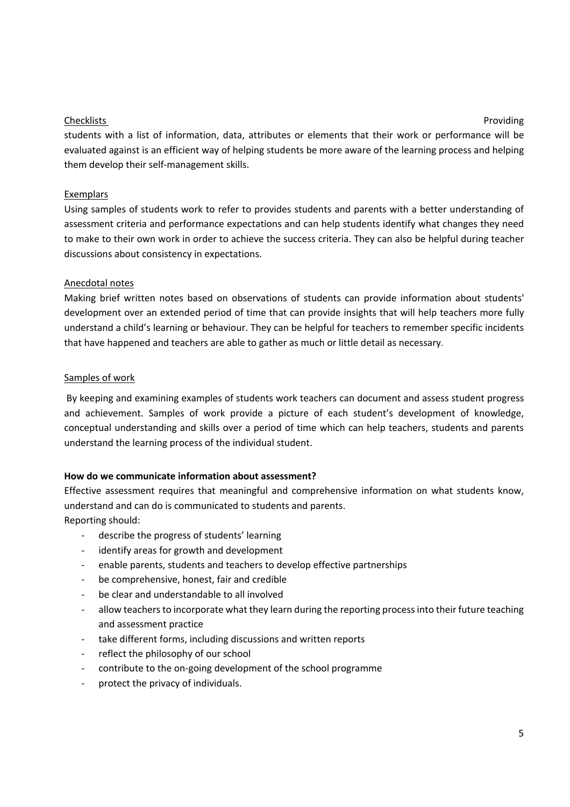#### **Checklists** Providing

students with a list of information, data, attributes or elements that their work or performance will be evaluated against is an efficient way of helping students be more aware of the learning process and helping them develop their self-management skills.

#### Exemplars

Using samples of students work to refer to provides students and parents with a better understanding of assessment criteria and performance expectations and can help students identify what changes they need to make to their own work in order to achieve the success criteria. They can also be helpful during teacher discussions about consistency in expectations.

# Anecdotal notes

Making brief written notes based on observations of students can provide information about students' development over an extended period of time that can provide insights that will help teachers more fully understand a child's learning or behaviour. They can be helpful for teachers to remember specific incidents that have happened and teachers are able to gather as much or little detail as necessary.

#### Samples of work

By keeping and examining examples of students work teachers can document and assess student progress and achievement. Samples of work provide a picture of each student's development of knowledge, conceptual understanding and skills over a period of time which can help teachers, students and parents understand the learning process of the individual student.

#### **How do we communicate information about assessment?**

Effective assessment requires that meaningful and comprehensive information on what students know, understand and can do is communicated to students and parents. Reporting should:

- describe the progress of students' learning
- identify areas for growth and development
- enable parents, students and teachers to develop effective partnerships
- be comprehensive, honest, fair and credible
- be clear and understandable to all involved
- allow teachers to incorporate what they learn during the reporting process into their future teaching and assessment practice
- take different forms, including discussions and written reports
- reflect the philosophy of our school
- contribute to the on-going development of the school programme
- protect the privacy of individuals.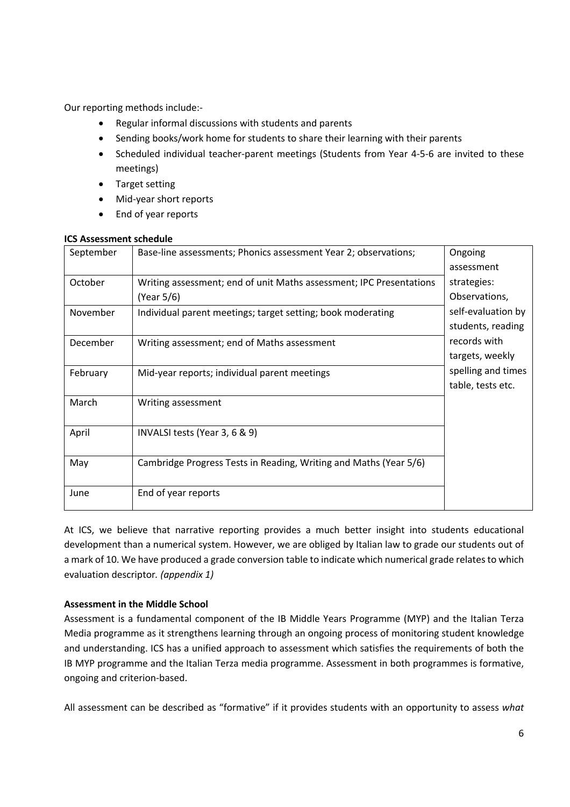Our reporting methods include:-

- Regular informal discussions with students and parents
- Sending books/work home for students to share their learning with their parents
- Scheduled individual teacher-parent meetings (Students from Year 4-5-6 are invited to these meetings)
- Target setting
- Mid-year short reports
- End of year reports

#### **ICS Assessment schedule**

| September | Base-line assessments; Phonics assessment Year 2; observations;     | Ongoing            |
|-----------|---------------------------------------------------------------------|--------------------|
|           |                                                                     | assessment         |
| October   | Writing assessment; end of unit Maths assessment; IPC Presentations | strategies:        |
|           | (Year 5/6)                                                          | Observations,      |
| November  | Individual parent meetings; target setting; book moderating         | self-evaluation by |
|           |                                                                     | students, reading  |
| December  | Writing assessment; end of Maths assessment                         | records with       |
|           |                                                                     | targets, weekly    |
| February  | Mid-year reports; individual parent meetings                        | spelling and times |
|           |                                                                     | table, tests etc.  |
| March     | Writing assessment                                                  |                    |
|           |                                                                     |                    |
| April     | INVALSI tests (Year 3, 6 & 9)                                       |                    |
|           |                                                                     |                    |
| May       | Cambridge Progress Tests in Reading, Writing and Maths (Year 5/6)   |                    |
|           |                                                                     |                    |
| June      | End of year reports                                                 |                    |
|           |                                                                     |                    |

At ICS, we believe that narrative reporting provides a much better insight into students educational development than a numerical system. However, we are obliged by Italian law to grade our students out of a mark of 10. We have produced a grade conversion table to indicate which numerical grade relates to which evaluation descriptor*. (appendix 1)*

#### **Assessment in the Middle School**

Assessment is a fundamental component of the IB Middle Years Programme (MYP) and the Italian Terza Media programme as it strengthens learning through an ongoing process of monitoring student knowledge and understanding. ICS has a unified approach to assessment which satisfies the requirements of both the IB MYP programme and the Italian Terza media programme. Assessment in both programmes is formative, ongoing and criterion-based.

All assessment can be described as "formative" if it provides students with an opportunity to assess *what*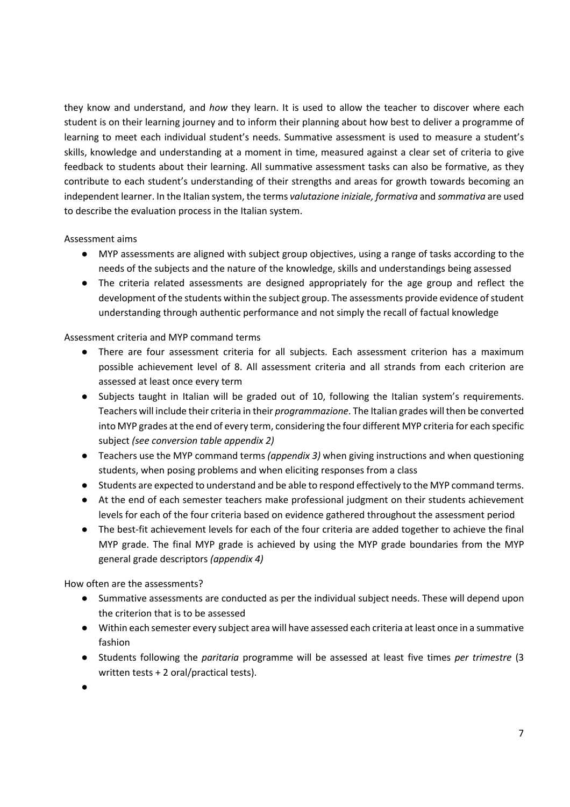they know and understand, and *how* they learn. It is used to allow the teacher to discover where each student is on their learning journey and to inform their planning about how best to deliver a programme of learning to meet each individual student's needs. Summative assessment is used to measure a student's skills, knowledge and understanding at a moment in time, measured against a clear set of criteria to give feedback to students about their learning. All summative assessment tasks can also be formative, as they contribute to each student's understanding of their strengths and areas for growth towards becoming an independent learner. In the Italian system, the terms *valutazione iniziale, formativa* and *sommativa* are used to describe the evaluation process in the Italian system.

#### Assessment aims

- MYP assessments are aligned with subject group objectives, using a range of tasks according to the needs of the subjects and the nature of the knowledge, skills and understandings being assessed
- The criteria related assessments are designed appropriately for the age group and reflect the development of the students within the subject group. The assessments provide evidence of student understanding through authentic performance and not simply the recall of factual knowledge

#### Assessment criteria and MYP command terms

- There are four assessment criteria for all subjects. Each assessment criterion has a maximum possible achievement level of 8. All assessment criteria and all strands from each criterion are assessed at least once every term
- Subjects taught in Italian will be graded out of 10, following the Italian system's requirements. Teachers will include their criteria in their *programmazione*. The Italian grades will then be converted into MYP grades at the end of every term, considering the four different MYP criteria for each specific subject *(see conversion table appendix 2)*
- Teachers use the MYP command terms *(appendix 3)* when giving instructions and when questioning students, when posing problems and when eliciting responses from a class
- Students are expected to understand and be able to respond effectively to the MYP command terms.
- At the end of each semester teachers make professional judgment on their students achievement levels for each of the four criteria based on evidence gathered throughout the assessment period
- The best-fit achievement levels for each of the four criteria are added together to achieve the final MYP grade. The final MYP grade is achieved by using the MYP grade boundaries from the MYP general grade descriptors *(appendix 4)*

How often are the assessments?

- Summative assessments are conducted as per the individual subject needs. These will depend upon the criterion that is to be assessed
- Within each semester every subject area will have assessed each criteria at least once in a summative fashion
- Students following the *paritaria* programme will be assessed at least five times *per trimestre* (3 written tests + 2 oral/practical tests).
- ●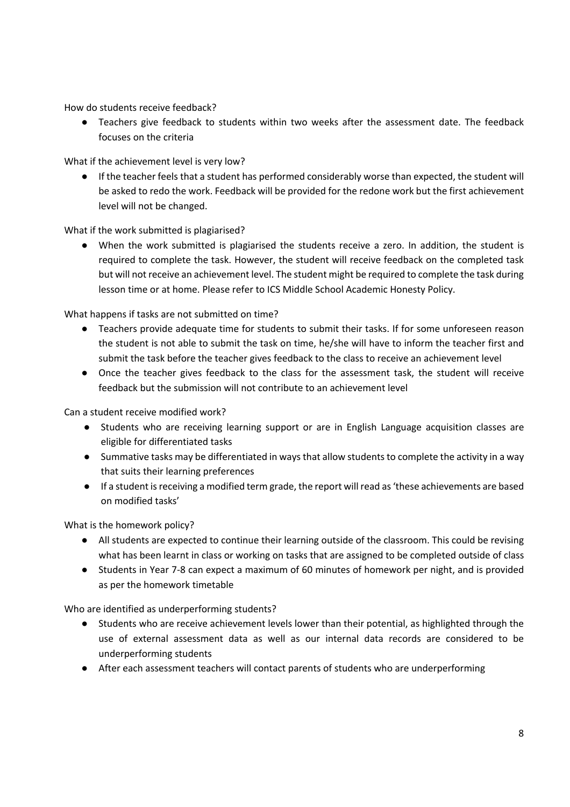How do students receive feedback?

● Teachers give feedback to students within two weeks after the assessment date. The feedback focuses on the criteria

What if the achievement level is very low?

● If the teacher feels that a student has performed considerably worse than expected, the student will be asked to redo the work. Feedback will be provided for the redone work but the first achievement level will not be changed.

What if the work submitted is plagiarised?

● When the work submitted is plagiarised the students receive a zero. In addition, the student is required to complete the task. However, the student will receive feedback on the completed task but will not receive an achievement level. The student might be required to complete the task during lesson time or at home. Please refer to ICS Middle School Academic Honesty Policy.

What happens if tasks are not submitted on time?

- Teachers provide adequate time for students to submit their tasks. If for some unforeseen reason the student is not able to submit the task on time, he/she will have to inform the teacher first and submit the task before the teacher gives feedback to the class to receive an achievement level
- Once the teacher gives feedback to the class for the assessment task, the student will receive feedback but the submission will not contribute to an achievement level

Can a student receive modified work?

- Students who are receiving learning support or are in English Language acquisition classes are eligible for differentiated tasks
- Summative tasks may be differentiated in ways that allow students to complete the activity in a way that suits their learning preferences
- If a student is receiving a modified term grade, the report will read as 'these achievements are based on modified tasks'

What is the homework policy?

- All students are expected to continue their learning outside of the classroom. This could be revising what has been learnt in class or working on tasks that are assigned to be completed outside of class
- Students in Year 7-8 can expect a maximum of 60 minutes of homework per night, and is provided as per the homework timetable

Who are identified as underperforming students?

- Students who are receive achievement levels lower than their potential, as highlighted through the use of external assessment data as well as our internal data records are considered to be underperforming students
- After each assessment teachers will contact parents of students who are underperforming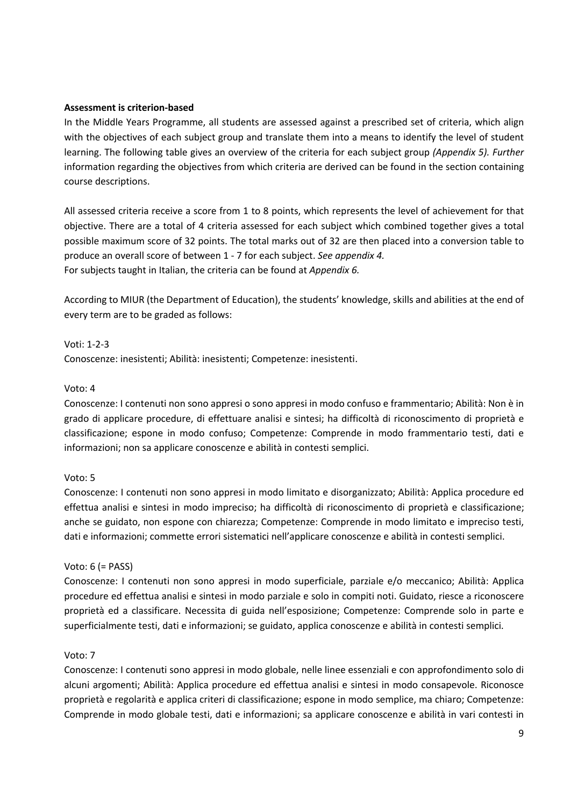#### **Assessment is criterion-based**

In the Middle Years Programme, all students are assessed against a prescribed set of criteria, which align with the objectives of each subject group and translate them into a means to identify the level of student learning. The following table gives an overview of the criteria for each subject group *(Appendix 5). Further*  information regarding the objectives from which criteria are derived can be found in the section containing course descriptions.

All assessed criteria receive a score from 1 to 8 points, which represents the level of achievement for that objective. There are a total of 4 criteria assessed for each subject which combined together gives a total possible maximum score of 32 points. The total marks out of 32 are then placed into a conversion table to produce an overall score of between 1 - 7 for each subject. *See appendix 4.* For subjects taught in Italian, the criteria can be found at *Appendix 6.*

According to MIUR (the Department of Education), the students' knowledge, skills and abilities at the end of every term are to be graded as follows:

Voti: 1-2-3

Conoscenze: inesistenti; Abilità: inesistenti; Competenze: inesistenti.

#### Voto: 4

Conoscenze: I contenuti non sono appresi o sono appresi in modo confuso e frammentario; Abilità: Non è in grado di applicare procedure, di effettuare analisi e sintesi; ha difficoltà di riconoscimento di proprietà e classificazione; espone in modo confuso; Competenze: Comprende in modo frammentario testi, dati e informazioni; non sa applicare conoscenze e abilità in contesti semplici.

#### Voto: 5

Conoscenze: I contenuti non sono appresi in modo limitato e disorganizzato; Abilità: Applica procedure ed effettua analisi e sintesi in modo impreciso; ha difficoltà di riconoscimento di proprietà e classificazione; anche se guidato, non espone con chiarezza; Competenze: Comprende in modo limitato e impreciso testi, dati e informazioni; commette errori sistematici nell'applicare conoscenze e abilità in contesti semplici.

#### Voto: 6 (= PASS)

Conoscenze: I contenuti non sono appresi in modo superficiale, parziale e/o meccanico; Abilità: Applica procedure ed effettua analisi e sintesi in modo parziale e solo in compiti noti. Guidato, riesce a riconoscere proprietà ed a classificare. Necessita di guida nell'esposizione; Competenze: Comprende solo in parte e superficialmente testi, dati e informazioni; se guidato, applica conoscenze e abilità in contesti semplici.

#### Voto: 7

Conoscenze: I contenuti sono appresi in modo globale, nelle linee essenziali e con approfondimento solo di alcuni argomenti; Abilità: Applica procedure ed effettua analisi e sintesi in modo consapevole. Riconosce proprietà e regolarità e applica criteri di classificazione; espone in modo semplice, ma chiaro; Competenze: Comprende in modo globale testi, dati e informazioni; sa applicare conoscenze e abilità in vari contesti in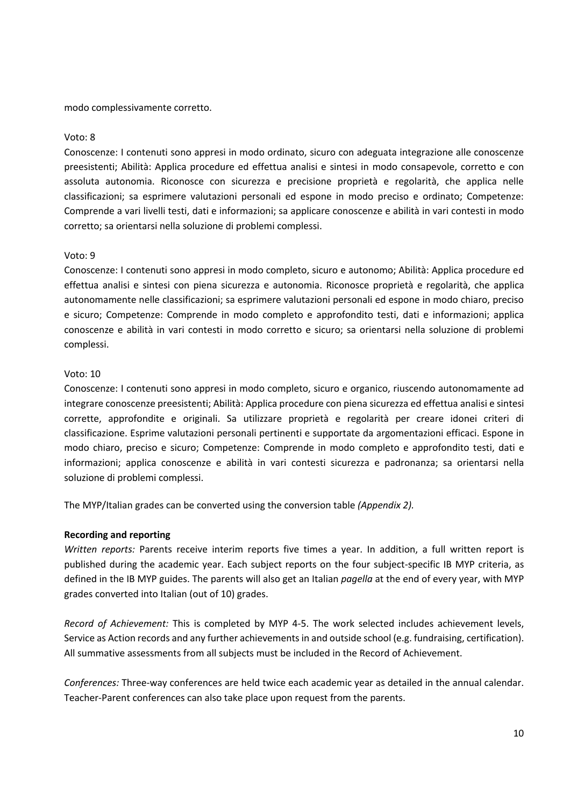modo complessivamente corretto.

#### Voto: 8

Conoscenze: I contenuti sono appresi in modo ordinato, sicuro con adeguata integrazione alle conoscenze preesistenti; Abilità: Applica procedure ed effettua analisi e sintesi in modo consapevole, corretto e con assoluta autonomia. Riconosce con sicurezza e precisione proprietà e regolarità, che applica nelle classificazioni; sa esprimere valutazioni personali ed espone in modo preciso e ordinato; Competenze: Comprende a vari livelli testi, dati e informazioni; sa applicare conoscenze e abilità in vari contesti in modo corretto; sa orientarsi nella soluzione di problemi complessi.

#### Voto: 9

Conoscenze: I contenuti sono appresi in modo completo, sicuro e autonomo; Abilità: Applica procedure ed effettua analisi e sintesi con piena sicurezza e autonomia. Riconosce proprietà e regolarità, che applica autonomamente nelle classificazioni; sa esprimere valutazioni personali ed espone in modo chiaro, preciso e sicuro; Competenze: Comprende in modo completo e approfondito testi, dati e informazioni; applica conoscenze e abilità in vari contesti in modo corretto e sicuro; sa orientarsi nella soluzione di problemi complessi.

#### Voto: 10

Conoscenze: I contenuti sono appresi in modo completo, sicuro e organico, riuscendo autonomamente ad integrare conoscenze preesistenti; Abilità: Applica procedure con piena sicurezza ed effettua analisi e sintesi corrette, approfondite e originali. Sa utilizzare proprietà e regolarità per creare idonei criteri di classificazione. Esprime valutazioni personali pertinenti e supportate da argomentazioni efficaci. Espone in modo chiaro, preciso e sicuro; Competenze: Comprende in modo completo e approfondito testi, dati e informazioni; applica conoscenze e abilità in vari contesti sicurezza e padronanza; sa orientarsi nella soluzione di problemi complessi.

The MYP/Italian grades can be converted using the conversion table *(Appendix 2).*

#### **Recording and reporting**

*Written reports:* Parents receive interim reports five times a year. In addition, a full written report is published during the academic year. Each subject reports on the four subject-specific IB MYP criteria, as defined in the IB MYP guides. The parents will also get an Italian *pagella* at the end of every year, with MYP grades converted into Italian (out of 10) grades.

*Record of Achievement:* This is completed by MYP 4-5. The work selected includes achievement levels, Service as Action records and any further achievements in and outside school (e.g. fundraising, certification). All summative assessments from all subjects must be included in the Record of Achievement.

*Conferences:* Three-way conferences are held twice each academic year as detailed in the annual calendar. Teacher-Parent conferences can also take place upon request from the parents.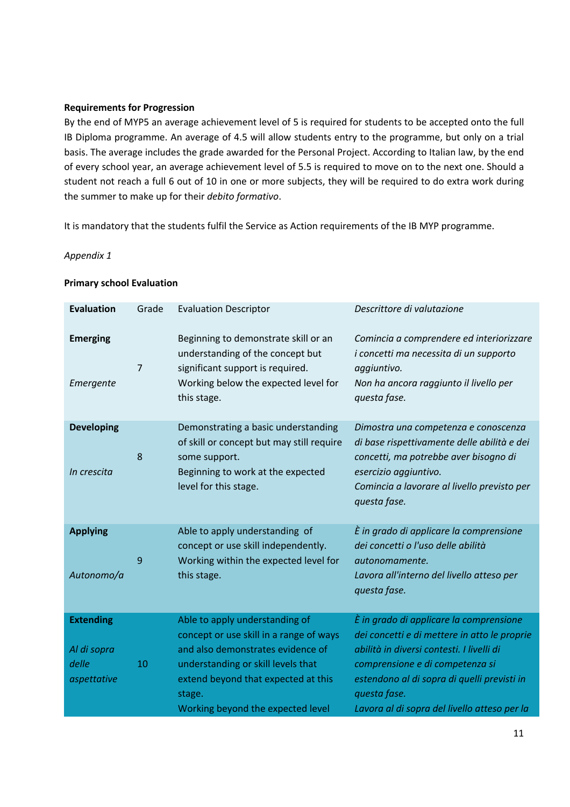#### **Requirements for Progression**

By the end of MYP5 an average achievement level of 5 is required for students to be accepted onto the full IB Diploma programme. An average of 4.5 will allow students entry to the programme, but only on a trial basis. The average includes the grade awarded for the Personal Project. According to Italian law, by the end of every school year, an average achievement level of 5.5 is required to move on to the next one. Should a student not reach a full 6 out of 10 in one or more subjects, they will be required to do extra work during the summer to make up for their *debito formativo*.

It is mandatory that the students fulfil the Service as Action requirements of the IB MYP programme.

#### *Appendix 1*

| <b>Evaluation</b>                                       | Grade          | <b>Evaluation Descriptor</b>                                                                                                                                                                                                               | Descrittore di valutazione                                                                                                                                                                                                                                                             |
|---------------------------------------------------------|----------------|--------------------------------------------------------------------------------------------------------------------------------------------------------------------------------------------------------------------------------------------|----------------------------------------------------------------------------------------------------------------------------------------------------------------------------------------------------------------------------------------------------------------------------------------|
| <b>Emerging</b><br>Emergente                            | $\overline{7}$ | Beginning to demonstrate skill or an<br>understanding of the concept but<br>significant support is required.<br>Working below the expected level for<br>this stage.                                                                        | Comincia a comprendere ed interiorizzare<br>i concetti ma necessita di un supporto<br>aggiuntivo.<br>Non ha ancora raggiunto il livello per<br>questa fase.                                                                                                                            |
| <b>Developing</b><br>In crescita                        | 8              | Demonstrating a basic understanding<br>of skill or concept but may still require<br>some support.<br>Beginning to work at the expected<br>level for this stage.                                                                            | Dimostra una competenza e conoscenza<br>di base rispettivamente delle abilità e dei<br>concetti, ma potrebbe aver bisogno di<br>esercizio aggiuntivo.<br>Comincia a lavorare al livello previsto per<br>questa fase.                                                                   |
| <b>Applying</b><br>Autonomo/a                           | 9              | Able to apply understanding of<br>concept or use skill independently.<br>Working within the expected level for<br>this stage.                                                                                                              | È in grado di applicare la comprensione<br>dei concetti o l'uso delle abilità<br>autonomamente.<br>Lavora all'interno del livello atteso per<br>questa fase.                                                                                                                           |
| <b>Extending</b><br>Al di sopra<br>delle<br>aspettative | 10             | Able to apply understanding of<br>concept or use skill in a range of ways<br>and also demonstrates evidence of<br>understanding or skill levels that<br>extend beyond that expected at this<br>stage.<br>Working beyond the expected level | È in grado di applicare la comprensione<br>dei concetti e di mettere in atto le proprie<br>abilità in diversi contesti. I livelli di<br>comprensione e di competenza si<br>estendono al di sopra di quelli previsti in<br>questa fase.<br>Lavora al di sopra del livello atteso per la |

#### **Primary school Evaluation**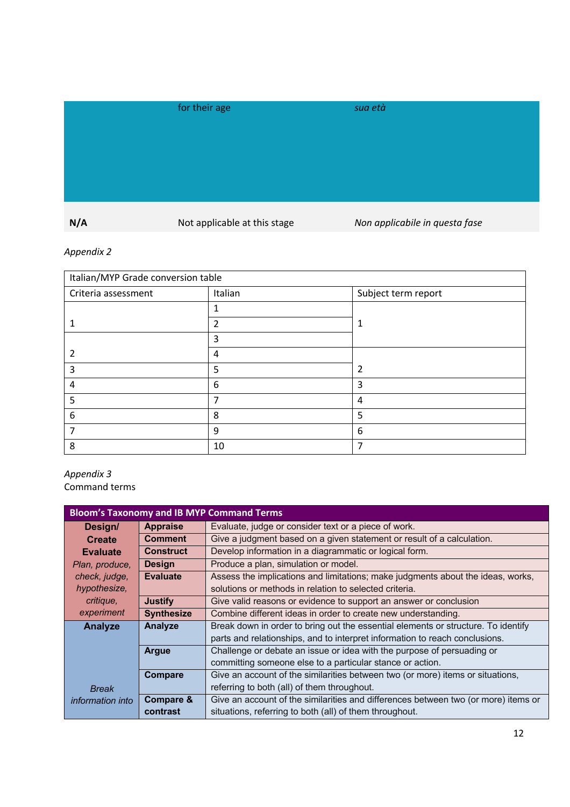|     | for their age                | sua età                        |
|-----|------------------------------|--------------------------------|
|     |                              |                                |
|     |                              |                                |
|     |                              |                                |
|     |                              |                                |
| N/A | Not applicable at this stage | Non applicabile in questa fase |

# *Appendix 2*

| Italian/MYP Grade conversion table |         |                     |  |
|------------------------------------|---------|---------------------|--|
| Criteria assessment                | Italian | Subject term report |  |
|                                    | 4       |                     |  |
|                                    | 2       | л.                  |  |
|                                    | 3       |                     |  |
|                                    | 4       |                     |  |
| 3                                  | 5       | 2                   |  |
| 4                                  | 6       | 3                   |  |
| 5                                  | 7       | 4                   |  |
| 6                                  | 8       | 5                   |  |
|                                    | 9       | 6                   |  |
| 8                                  | 10      |                     |  |

#### *Appendix 3* Command terms

| <b>Bloom's Taxonomy and IB MYP Command Terms</b> |                      |                                                                                    |  |
|--------------------------------------------------|----------------------|------------------------------------------------------------------------------------|--|
| Design/                                          | <b>Appraise</b>      | Evaluate, judge or consider text or a piece of work.                               |  |
| <b>Create</b>                                    | <b>Comment</b>       | Give a judgment based on a given statement or result of a calculation.             |  |
| <b>Evaluate</b>                                  | <b>Construct</b>     | Develop information in a diagrammatic or logical form.                             |  |
| Plan, produce,                                   | <b>Design</b>        | Produce a plan, simulation or model.                                               |  |
| check, judge,                                    | <b>Evaluate</b>      | Assess the implications and limitations; make judgments about the ideas, works,    |  |
| hypothesize,                                     |                      | solutions or methods in relation to selected criteria.                             |  |
| critique,                                        | Justify              | Give valid reasons or evidence to support an answer or conclusion                  |  |
| experiment                                       | <b>Synthesize</b>    | Combine different ideas in order to create new understanding.                      |  |
| Analyze                                          | Analyze              | Break down in order to bring out the essential elements or structure. To identify  |  |
|                                                  |                      | parts and relationships, and to interpret information to reach conclusions.        |  |
|                                                  | <b>Argue</b>         | Challenge or debate an issue or idea with the purpose of persuading or             |  |
|                                                  |                      | committing someone else to a particular stance or action.                          |  |
|                                                  | Compare              | Give an account of the similarities between two (or more) items or situations,     |  |
| <b>Break</b>                                     |                      | referring to both (all) of them throughout.                                        |  |
| <i>information into</i>                          | <b>Compare &amp;</b> | Give an account of the similarities and differences between two (or more) items or |  |
|                                                  | contrast             | situations, referring to both (all) of them throughout.                            |  |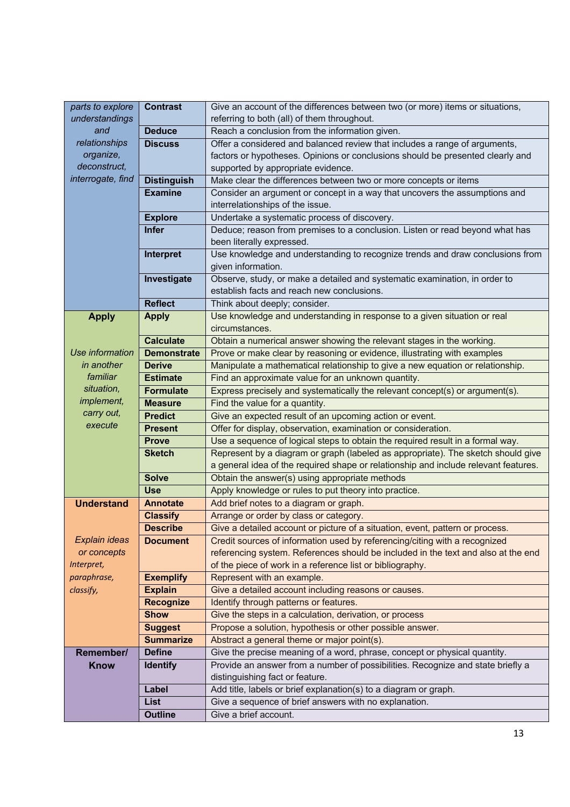| parts to explore  | <b>Contrast</b>                     | Give an account of the differences between two (or more) items or situations,                                                                   |  |  |
|-------------------|-------------------------------------|-------------------------------------------------------------------------------------------------------------------------------------------------|--|--|
| understandings    |                                     | referring to both (all) of them throughout.                                                                                                     |  |  |
| and               | <b>Deduce</b>                       | Reach a conclusion from the information given.                                                                                                  |  |  |
| relationships     | <b>Discuss</b>                      | Offer a considered and balanced review that includes a range of arguments,                                                                      |  |  |
| organize,         |                                     | factors or hypotheses. Opinions or conclusions should be presented clearly and                                                                  |  |  |
| deconstruct,      |                                     | supported by appropriate evidence.                                                                                                              |  |  |
| interrogate, find | <b>Distinguish</b>                  | Make clear the differences between two or more concepts or items                                                                                |  |  |
|                   | <b>Examine</b>                      | Consider an argument or concept in a way that uncovers the assumptions and                                                                      |  |  |
|                   |                                     | interrelationships of the issue.                                                                                                                |  |  |
|                   | <b>Explore</b>                      | Undertake a systematic process of discovery.                                                                                                    |  |  |
|                   | <b>Infer</b>                        | Deduce; reason from premises to a conclusion. Listen or read beyond what has                                                                    |  |  |
|                   |                                     | been literally expressed.                                                                                                                       |  |  |
|                   | Interpret                           | Use knowledge and understanding to recognize trends and draw conclusions from                                                                   |  |  |
|                   |                                     | given information.                                                                                                                              |  |  |
|                   | Investigate                         | Observe, study, or make a detailed and systematic examination, in order to                                                                      |  |  |
|                   |                                     | establish facts and reach new conclusions.                                                                                                      |  |  |
|                   | <b>Reflect</b>                      | Think about deeply; consider.                                                                                                                   |  |  |
| <b>Apply</b>      | <b>Apply</b>                        | Use knowledge and understanding in response to a given situation or real                                                                        |  |  |
|                   | <b>Calculate</b>                    | circumstances.                                                                                                                                  |  |  |
| Use information   |                                     | Obtain a numerical answer showing the relevant stages in the working.                                                                           |  |  |
| in another        | <b>Demonstrate</b><br><b>Derive</b> | Prove or make clear by reasoning or evidence, illustrating with examples                                                                        |  |  |
| familiar          | <b>Estimate</b>                     | Manipulate a mathematical relationship to give a new equation or relationship.                                                                  |  |  |
| situation,        |                                     | Find an approximate value for an unknown quantity.                                                                                              |  |  |
| implement,        | <b>Formulate</b>                    | Express precisely and systematically the relevant concept(s) or argument(s).                                                                    |  |  |
| carry out,        | <b>Measure</b>                      | Find the value for a quantity.<br>Give an expected result of an upcoming action or event.                                                       |  |  |
| execute           | <b>Predict</b>                      |                                                                                                                                                 |  |  |
|                   | <b>Present</b><br><b>Prove</b>      | Offer for display, observation, examination or consideration.<br>Use a sequence of logical steps to obtain the required result in a formal way. |  |  |
|                   | <b>Sketch</b>                       | Represent by a diagram or graph (labeled as appropriate). The sketch should give                                                                |  |  |
|                   |                                     | a general idea of the required shape or relationship and include relevant features.                                                             |  |  |
|                   | <b>Solve</b>                        | Obtain the answer(s) using appropriate methods                                                                                                  |  |  |
|                   | <b>Use</b>                          | Apply knowledge or rules to put theory into practice.                                                                                           |  |  |
| <b>Understand</b> | <b>Annotate</b>                     | Add brief notes to a diagram or graph.                                                                                                          |  |  |
|                   | <b>Classify</b>                     | Arrange or order by class or category.                                                                                                          |  |  |
|                   | <b>Describe</b>                     | Give a detailed account or picture of a situation, event, pattern or process.                                                                   |  |  |
| Explain ideas     | <b>Document</b>                     | Credit sources of information used by referencing/citing with a recognized                                                                      |  |  |
| or concepts       |                                     | referencing system. References should be included in the text and also at the end                                                               |  |  |
| Interpret,        |                                     | of the piece of work in a reference list or bibliography.                                                                                       |  |  |
| paraphrase,       | <b>Exemplify</b>                    | Represent with an example.                                                                                                                      |  |  |
| classify,         | <b>Explain</b>                      | Give a detailed account including reasons or causes.                                                                                            |  |  |
|                   | <b>Recognize</b>                    | Identify through patterns or features.                                                                                                          |  |  |
|                   | <b>Show</b>                         | Give the steps in a calculation, derivation, or process                                                                                         |  |  |
|                   | <b>Suggest</b>                      | Propose a solution, hypothesis or other possible answer.                                                                                        |  |  |
|                   | <b>Summarize</b>                    | Abstract a general theme or major point(s).                                                                                                     |  |  |
| Remember/         | <b>Define</b>                       | Give the precise meaning of a word, phrase, concept or physical quantity.                                                                       |  |  |
| <b>Know</b>       | <b>Identify</b>                     | Provide an answer from a number of possibilities. Recognize and state briefly a                                                                 |  |  |
|                   |                                     | distinguishing fact or feature.                                                                                                                 |  |  |
|                   | Label                               | Add title, labels or brief explanation(s) to a diagram or graph.                                                                                |  |  |
|                   | List                                | Give a sequence of brief answers with no explanation.                                                                                           |  |  |
|                   | <b>Outline</b>                      | Give a brief account.                                                                                                                           |  |  |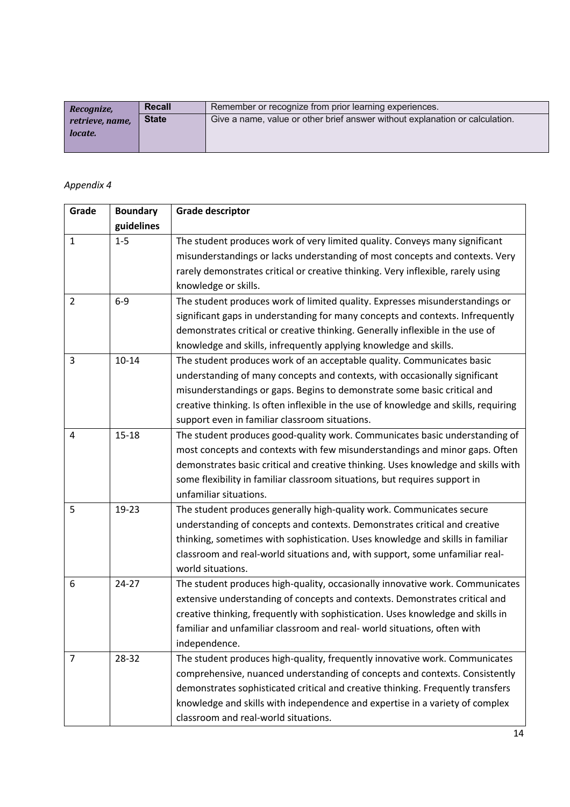| Recognize,      | <b>Recall</b> | Remember or recognize from prior learning experiences.                       |
|-----------------|---------------|------------------------------------------------------------------------------|
| retrieve, name, | <b>State</b>  | Give a name, value or other brief answer without explanation or calculation. |
| locate.         |               |                                                                              |
|                 |               |                                                                              |

# *Appendix 4*

| Grade          | <b>Boundary</b> | <b>Grade descriptor</b>                                                              |
|----------------|-----------------|--------------------------------------------------------------------------------------|
|                | guidelines      |                                                                                      |
| $\mathbf{1}$   | $1-5$           | The student produces work of very limited quality. Conveys many significant          |
|                |                 | misunderstandings or lacks understanding of most concepts and contexts. Very         |
|                |                 | rarely demonstrates critical or creative thinking. Very inflexible, rarely using     |
|                |                 | knowledge or skills.                                                                 |
| $\overline{2}$ | $6-9$           | The student produces work of limited quality. Expresses misunderstandings or         |
|                |                 | significant gaps in understanding for many concepts and contexts. Infrequently       |
|                |                 | demonstrates critical or creative thinking. Generally inflexible in the use of       |
|                |                 | knowledge and skills, infrequently applying knowledge and skills.                    |
| 3              | $10 - 14$       | The student produces work of an acceptable quality. Communicates basic               |
|                |                 | understanding of many concepts and contexts, with occasionally significant           |
|                |                 | misunderstandings or gaps. Begins to demonstrate some basic critical and             |
|                |                 | creative thinking. Is often inflexible in the use of knowledge and skills, requiring |
|                |                 | support even in familiar classroom situations.                                       |
| $\overline{4}$ | $15 - 18$       | The student produces good-quality work. Communicates basic understanding of          |
|                |                 | most concepts and contexts with few misunderstandings and minor gaps. Often          |
|                |                 | demonstrates basic critical and creative thinking. Uses knowledge and skills with    |
|                |                 | some flexibility in familiar classroom situations, but requires support in           |
|                |                 | unfamiliar situations.                                                               |
| 5              | 19-23           | The student produces generally high-quality work. Communicates secure                |
|                |                 | understanding of concepts and contexts. Demonstrates critical and creative           |
|                |                 | thinking, sometimes with sophistication. Uses knowledge and skills in familiar       |
|                |                 | classroom and real-world situations and, with support, some unfamiliar real-         |
|                |                 | world situations.                                                                    |
| 6              | $24 - 27$       | The student produces high-quality, occasionally innovative work. Communicates        |
|                |                 | extensive understanding of concepts and contexts. Demonstrates critical and          |
|                |                 | creative thinking, frequently with sophistication. Uses knowledge and skills in      |
|                |                 | familiar and unfamiliar classroom and real- world situations, often with             |
|                |                 | independence.                                                                        |
| 7              | 28-32           | The student produces high-quality, frequently innovative work. Communicates          |
|                |                 | comprehensive, nuanced understanding of concepts and contexts. Consistently          |
|                |                 | demonstrates sophisticated critical and creative thinking. Frequently transfers      |
|                |                 | knowledge and skills with independence and expertise in a variety of complex         |
|                |                 | classroom and real-world situations.                                                 |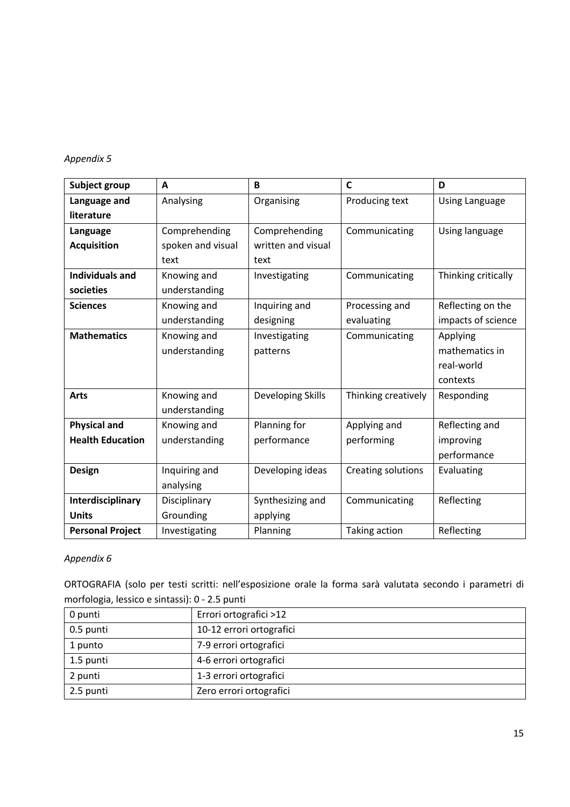# *Appendix 5*

| Subject group           | A                 | B                  | $\mathsf{C}$        | D                     |
|-------------------------|-------------------|--------------------|---------------------|-----------------------|
| Language and            | Analysing         | Organising         | Producing text      | <b>Using Language</b> |
| literature              |                   |                    |                     |                       |
| Language                | Comprehending     | Comprehending      | Communicating       | Using language        |
| <b>Acquisition</b>      | spoken and visual | written and visual |                     |                       |
|                         | text              | text               |                     |                       |
| <b>Individuals and</b>  | Knowing and       | Investigating      | Communicating       | Thinking critically   |
| societies               | understanding     |                    |                     |                       |
| <b>Sciences</b>         | Knowing and       | Inquiring and      | Processing and      | Reflecting on the     |
|                         | understanding     | designing          | evaluating          | impacts of science    |
| <b>Mathematics</b>      | Knowing and       | Investigating      | Communicating       | Applying              |
|                         | understanding     | patterns           |                     | mathematics in        |
|                         |                   |                    |                     | real-world            |
|                         |                   |                    |                     | contexts              |
| <b>Arts</b>             | Knowing and       | Developing Skills  | Thinking creatively | Responding            |
|                         | understanding     |                    |                     |                       |
| <b>Physical and</b>     | Knowing and       | Planning for       | Applying and        | Reflecting and        |
| <b>Health Education</b> | understanding     | performance        | performing          | improving             |
|                         |                   |                    |                     | performance           |
| <b>Design</b>           | Inquiring and     | Developing ideas   | Creating solutions  | Evaluating            |
|                         | analysing         |                    |                     |                       |
| Interdisciplinary       | Disciplinary      | Synthesizing and   | Communicating       | Reflecting            |
| <b>Units</b>            | Grounding         | applying           |                     |                       |
| <b>Personal Project</b> | Investigating     | Planning           | Taking action       | Reflecting            |

# *Appendix 6*

ORTOGRAFIA (solo per testi scritti: nell'esposizione orale la forma sarà valutata secondo i parametri di morfologia, lessico e sintassi): 0 - 2.5 punti

| 0 punti   | Errori ortografici >12   |
|-----------|--------------------------|
| 0.5 punti | 10-12 errori ortografici |
| 1 punto   | 7-9 errori ortografici   |
| 1.5 punti | 4-6 errori ortografici   |
| 2 punti   | 1-3 errori ortografici   |
| 2.5 punti | Zero errori ortografici  |